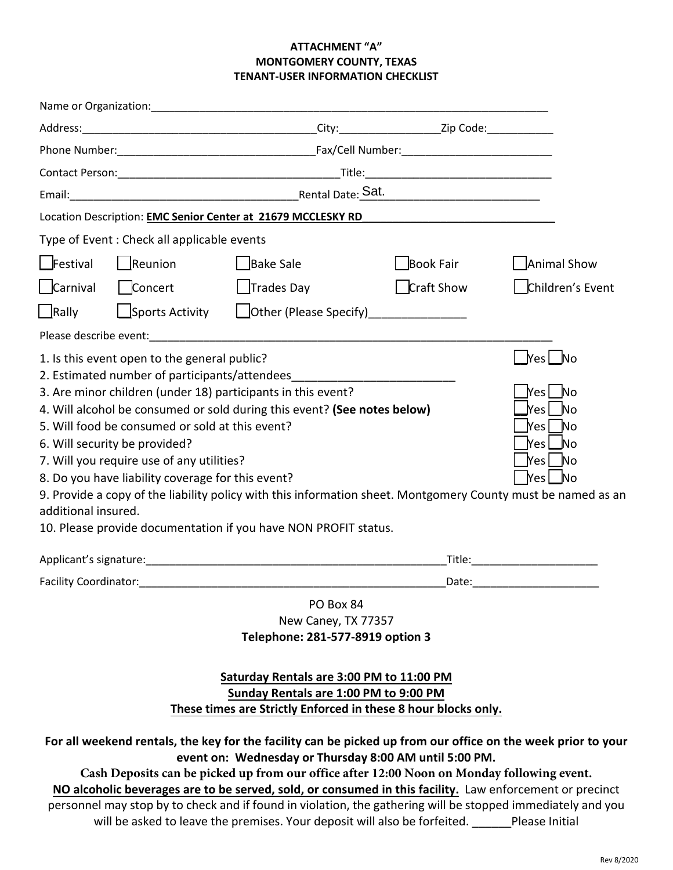### **ATTACHMENT "A" MONTGOMERY COUNTY, TEXAS TENANT-USER INFORMATION CHECKLIST**

|                                                                                                                                                                                                        |                                                 | Location Description: EMC Senior Center at 21679 MCCLESKY RD                                                 | <u> 1989 - John Stone, Amerikaansk politiker (</u> |                                    |  |  |  |  |
|--------------------------------------------------------------------------------------------------------------------------------------------------------------------------------------------------------|-------------------------------------------------|--------------------------------------------------------------------------------------------------------------|----------------------------------------------------|------------------------------------|--|--|--|--|
|                                                                                                                                                                                                        | Type of Event: Check all applicable events      |                                                                                                              |                                                    |                                    |  |  |  |  |
| $F$ estival                                                                                                                                                                                            | $\Box$ Reunion                                  | Bake Sale                                                                                                    | Book Fair                                          | Animal Show                        |  |  |  |  |
| Carnival                                                                                                                                                                                               | Concert                                         | $\Box$ Trades Day                                                                                            | Craft Show                                         | Children's Event                   |  |  |  |  |
| Rally                                                                                                                                                                                                  | $\Box$ Sports Activity                          | Other (Please Specify) ______________                                                                        |                                                    |                                    |  |  |  |  |
|                                                                                                                                                                                                        |                                                 |                                                                                                              |                                                    |                                    |  |  |  |  |
| 1. Is this event open to the general public?                                                                                                                                                           |                                                 |                                                                                                              |                                                    |                                    |  |  |  |  |
|                                                                                                                                                                                                        |                                                 | 2. Estimated number of participants/attendees                                                                |                                                    |                                    |  |  |  |  |
|                                                                                                                                                                                                        |                                                 | 3. Are minor children (under 18) participants in this event?                                                 |                                                    | Yes   No                           |  |  |  |  |
|                                                                                                                                                                                                        | 5. Will food be consumed or sold at this event? | 4. Will alcohol be consumed or sold during this event? (See notes below)                                     |                                                    | Yes No                             |  |  |  |  |
|                                                                                                                                                                                                        | 6. Will security be provided?                   |                                                                                                              |                                                    | Nes ∟No                            |  |  |  |  |
|                                                                                                                                                                                                        |                                                 |                                                                                                              |                                                    | Yes No                             |  |  |  |  |
| 7. Will you require use of any utilities?<br>Yes No<br>8. Do you have liability coverage for this event?                                                                                               |                                                 |                                                                                                              |                                                    |                                    |  |  |  |  |
| 9. Provide a copy of the liability policy with this information sheet. Montgomery County must be named as an                                                                                           |                                                 |                                                                                                              |                                                    |                                    |  |  |  |  |
| additional insured.                                                                                                                                                                                    |                                                 |                                                                                                              |                                                    |                                    |  |  |  |  |
|                                                                                                                                                                                                        |                                                 | 10. Please provide documentation if you have NON PROFIT status.                                              |                                                    |                                    |  |  |  |  |
|                                                                                                                                                                                                        |                                                 |                                                                                                              |                                                    | Title:____________________________ |  |  |  |  |
|                                                                                                                                                                                                        |                                                 |                                                                                                              |                                                    |                                    |  |  |  |  |
|                                                                                                                                                                                                        |                                                 | PO Box 84<br>New Caney, TX 77357<br>Telephone: 281-577-8919 option 3                                         |                                                    |                                    |  |  |  |  |
| Montgomery County Building Maintenance after hours 936-539-7859                                                                                                                                        |                                                 |                                                                                                              |                                                    |                                    |  |  |  |  |
| Saturday Rentals are 3:00 PM to 11:00 PM                                                                                                                                                               |                                                 |                                                                                                              |                                                    |                                    |  |  |  |  |
| Sunday Rentals are 1:00 PM to 9:00 PM                                                                                                                                                                  |                                                 |                                                                                                              |                                                    |                                    |  |  |  |  |
| These times are Strictly Enforced in these 8 hour blocks only.                                                                                                                                         |                                                 |                                                                                                              |                                                    |                                    |  |  |  |  |
|                                                                                                                                                                                                        |                                                 | For all weekend rentals, the key for the facility can be picked up from our office on the week prior to your |                                                    |                                    |  |  |  |  |
| event on: Wednesday or Thursday 8:00 AM until 5:00 PM.                                                                                                                                                 |                                                 |                                                                                                              |                                                    |                                    |  |  |  |  |
| Cash Deposits can be picked up from our office after 12:00 Noon on Monday following event.<br>NO alcoholic beverages are to be served, sold, or consumed in this facility. Law enforcement or precinct |                                                 |                                                                                                              |                                                    |                                    |  |  |  |  |
|                                                                                                                                                                                                        |                                                 | personnel may stop by to check and if found in violation, the gathering will be stopped immediately and you  |                                                    |                                    |  |  |  |  |

will be asked to leave the premises. Your deposit will also be forfeited. \_\_\_\_\_\_Please Initial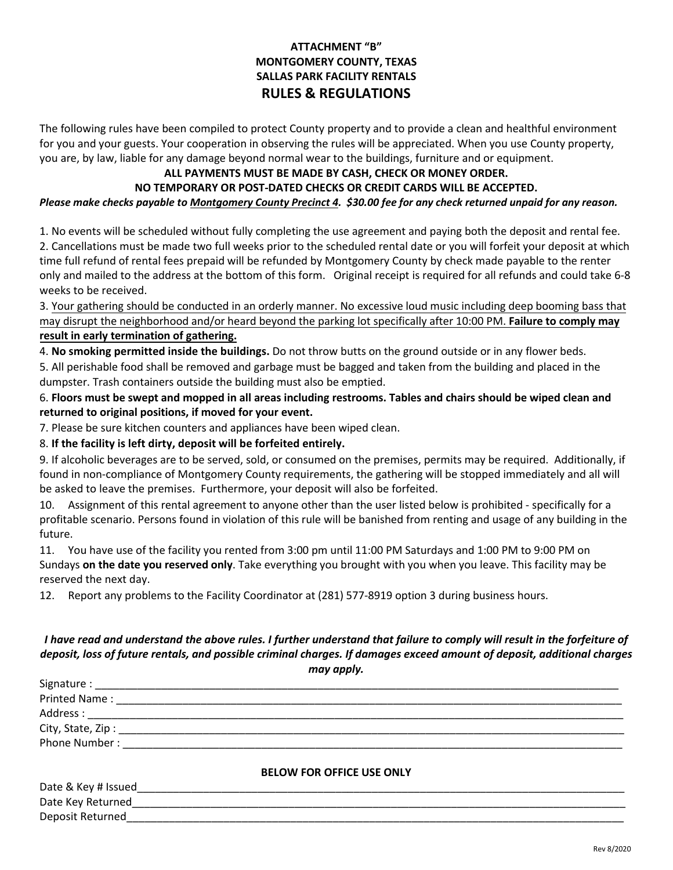# **ATTACHMENT "B" MONTGOMERY COUNTY, TEXAS SALLAS PARK FACILITY RENTALS RULES & REGULATIONS**

The following rules have been compiled to protect County property and to provide a clean and healthful environment for you and your guests. Your cooperation in observing the rules will be appreciated. When you use County property, you are, by law, liable for any damage beyond normal wear to the buildings, furniture and or equipment.

## **ALL PAYMENTS MUST BE MADE BY CASH, CHECK OR MONEY ORDER.**

# **NO TEMPORARY OR POST-DATED CHECKS OR CREDIT CARDS WILL BE ACCEPTED.**

*Please make checks payable to Montgomery County Precinct 4. \$30.00 fee for any check returned unpaid for any reason.*

1. No events will be scheduled without fully completing the use agreement and paying both the deposit and rental fee. 2. Cancellations must be made two full weeks prior to the scheduled rental date or you will forfeit your deposit at which time full refund of rental fees prepaid will be refunded by Montgomery County by check made payable to the renter only and mailed to the address at the bottom of this form. Original receipt is required for all refunds and could take 6-8 weeks to be received.

3. Your gathering should be conducted in an orderly manner. No excessive loud music including deep booming bass that may disrupt the neighborhood and/or heard beyond the parking lot specifically after 10:00 PM. **Failure to comply may result in early termination of gathering.**

4. **No smoking permitted inside the buildings.** Do not throw butts on the ground outside or in any flower beds. 5. All perishable food shall be removed and garbage must be bagged and taken from the building and placed in the dumpster. Trash containers outside the building must also be emptied.

6. **Floors must be swept and mopped in all areas including restrooms. Tables and chairs should be wiped clean and returned to original positions, if moved for your event.**

7. Please be sure kitchen counters and appliances have been wiped clean.

## 8. **If the facility is left dirty, deposit will be forfeited entirely.**

9. If alcoholic beverages are to be served, sold, or consumed on the premises, permits may be required. Additionally, if found in non-compliance of Montgomery County requirements, the gathering will be stopped immediately and all will be asked to leave the premises. Furthermore, your deposit will also be forfeited.

10. Assignment of this rental agreement to anyone other than the user listed below is prohibited - specifically for a profitable scenario. Persons found in violation of this rule will be banished from renting and usage of any building in the future.

11. You have use of the facility you rented from 3:00 pm until 11:00 PM Saturdays and 1:00 PM to 9:00 PM on Sundays **on the date you reserved only**. Take everything you brought with you when you leave. This facility may be reserved the next day.

12. Report any problems to the Facility Coordinator at (281) 577-8919 option 3 during business hours.

### *I have read and understand the above rules. I further understand that failure to comply will result in the forfeiture of deposit, loss of future rentals, and possible criminal charges. If damages exceed amount of deposit, additional charges may apply.*

| Phone Number: ______________ |                                  |  |
|------------------------------|----------------------------------|--|
|                              | <b>BELOW FOR OFFICE USE ONLY</b> |  |
| Date & Key # Issued          |                                  |  |
| Date Key Returned            |                                  |  |
| Deposit Returned             |                                  |  |
|                              |                                  |  |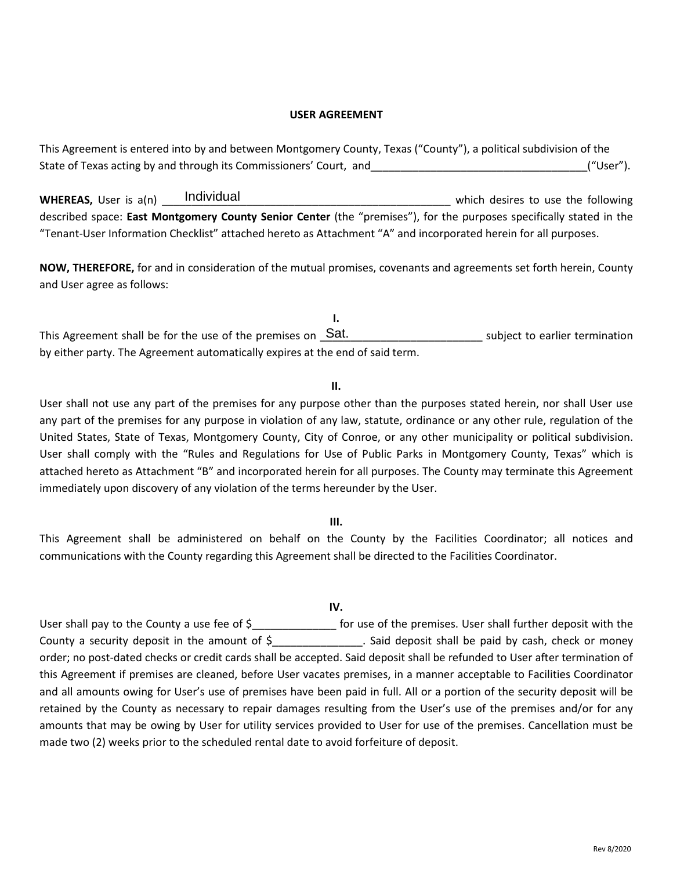#### **USER AGREEMENT**

This Agreement is entered into by and between Montgomery County, Texas ("County"), a political subdivision of the State of Texas acting by and through its Commissioners' Court, and<br>
WHEREAS. User is a(n) Individual WHEREAS. User is a(n) Individual

**WHEREAS,** User is a(n) **Individual** 1.1 and 1.1 and 1.1 and 1.1 and 1.1 and 1.1 and 1.1 and 1.1 and 1.1 and 1.1 and 1.1 and 1.1 and 1.1 and 1.1 and 1.1 and 1.1 and 1.1 and 1.1 and 1.1 and 1.1 and 1.1 and 1.1 and 1.1 and 1 described space: **East Montgomery County Senior Center** (the "premises"), for the purposes specifically stated in the "Tenant-User Information Checklist" attached hereto as Attachment "A" and incorporated herein for all purposes.

**NOW, THEREFORE,** for and in consideration of the mutual promises, covenants and agreements set forth herein, County and User agree as follows:

**I.** This Agreement shall be for the use of the premises on  $\_Sat$ . \_\_\_\_\_\_\_\_\_\_\_\_\_\_\_\_\_\_\_\_\_\_\_\_\_\_\_ subject to earlier termination by either party. The Agreement automatically expires at the end of said term.

#### **II.**

User shall not use any part of the premises for any purpose other than the purposes stated herein, nor shall User use any part of the premises for any purpose in violation of any law, statute, ordinance or any other rule, regulation of the United States, State of Texas, Montgomery County, City of Conroe, or any other municipality or political subdivision. User shall comply with the "Rules and Regulations for Use of Public Parks in Montgomery County, Texas" which is attached hereto as Attachment "B" and incorporated herein for all purposes. The County may terminate this Agreement immediately upon discovery of any violation of the terms hereunder by the User.

#### **III.**

This Agreement shall be administered on behalf on the County by the Facilities Coordinator; all notices and communications with the County regarding this Agreement shall be directed to the Facilities Coordinator.

#### **IV.**

User shall pay to the County a use fee of \$  $\qquad \qquad$  for use of the premises. User shall further deposit with the County a security deposit in the amount of \$ . Said deposit shall be paid by cash, check or money order; no post-dated checks or credit cards shall be accepted. Said deposit shall be refunded to User after termination of this Agreement if premises are cleaned, before User vacates premises, in a manner acceptable to Facilities Coordinator and all amounts owing for User's use of premises have been paid in full. All or a portion of the security deposit will be retained by the County as necessary to repair damages resulting from the User's use of the premises and/or for any amounts that may be owing by User for utility services provided to User for use of the premises. Cancellation must be made two (2) weeks prior to the scheduled rental date to avoid forfeiture of deposit.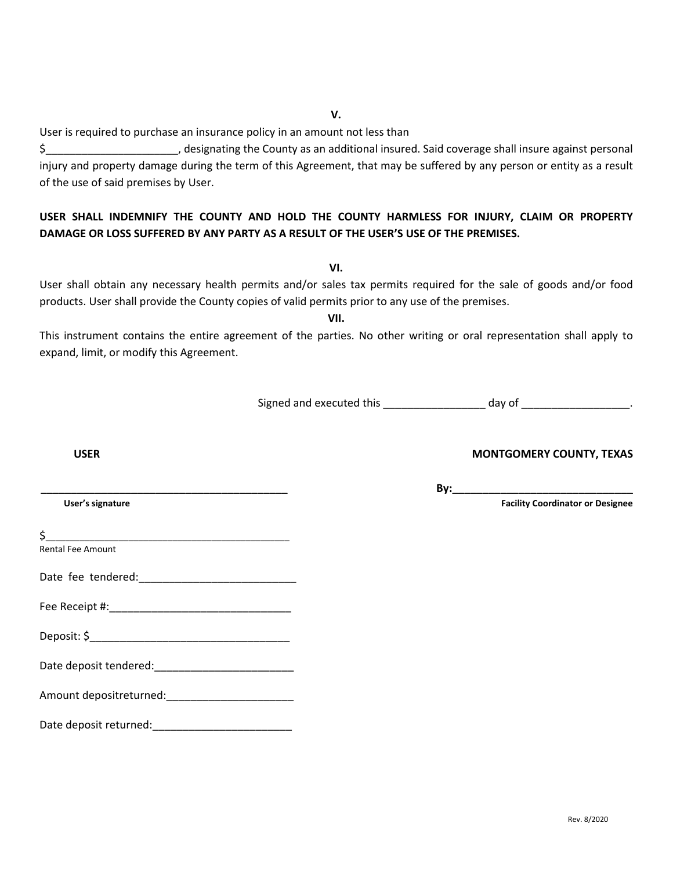**V.**

User is required to purchase an insurance policy in an amount not less than

\$ 5 besignating the County as an additional insured. Said coverage shall insure against personal injury and property damage during the term of this Agreement, that may be suffered by any person or entity as a result of the use of said premises by User.

# **USER SHALL INDEMNIFY THE COUNTY AND HOLD THE COUNTY HARMLESS FOR INJURY, CLAIM OR PROPERTY DAMAGE OR LOSS SUFFERED BY ANY PARTY AS A RESULT OF THE USER'S USE OF THE PREMISES.**

**VI.**

User shall obtain any necessary health permits and/or sales tax permits required for the sale of goods and/or food products. User shall provide the County copies of valid permits prior to any use of the premises.

**VII.**

This instrument contains the entire agreement of the parties. No other writing or oral representation shall apply to expand, limit, or modify this Agreement.

Signed and executed this \_\_\_\_\_\_\_\_\_\_\_\_\_\_\_\_\_\_\_\_\_ day of \_\_\_\_\_\_\_\_\_\_\_\_\_\_\_\_\_\_\_.

### **USER MONTGOMERY COUNTY, TEXAS**

|                                                          | By: |                                         |
|----------------------------------------------------------|-----|-----------------------------------------|
| User's signature                                         |     | <b>Facility Coordinator or Designee</b> |
| \$                                                       |     |                                         |
| <b>Rental Fee Amount</b>                                 |     |                                         |
|                                                          |     |                                         |
|                                                          |     |                                         |
|                                                          |     |                                         |
|                                                          |     |                                         |
| Amount depositreturned: National Amount depositreturned: |     |                                         |
| Date deposit returned:                                   |     |                                         |